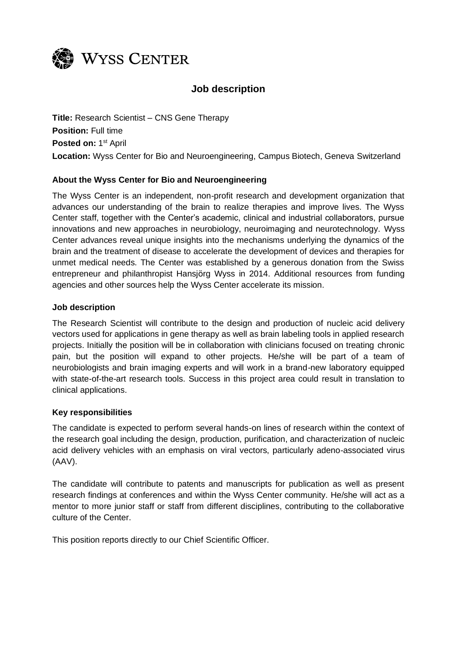

# **Job description**

**Title:** Research Scientist – CNS Gene Therapy **Position:** Full time Posted on: 1<sup>st</sup> April **Location:** Wyss Center for Bio and Neuroengineering, Campus Biotech, Geneva Switzerland

## **About the Wyss Center for Bio and Neuroengineering**

The Wyss Center is an independent, non-profit research and development organization that advances our understanding of the brain to realize therapies and improve lives. The Wyss Center staff, together with the Center's academic, clinical and industrial collaborators, pursue innovations and new approaches in neurobiology, neuroimaging and neurotechnology. Wyss Center advances reveal unique insights into the mechanisms underlying the dynamics of the brain and the treatment of disease to accelerate the development of devices and therapies for unmet medical needs. The Center was established by a generous donation from the Swiss entrepreneur and philanthropist Hansjörg Wyss in 2014. Additional resources from funding agencies and other sources help the Wyss Center accelerate its mission.

#### **Job description**

The Research Scientist will contribute to the design and production of nucleic acid delivery vectors used for applications in gene therapy as well as brain labeling tools in applied research projects. Initially the position will be in collaboration with clinicians focused on treating chronic pain, but the position will expand to other projects. He/she will be part of a team of neurobiologists and brain imaging experts and will work in a brand-new laboratory equipped with state-of-the-art research tools. Success in this project area could result in translation to clinical applications.

#### **Key responsibilities**

The candidate is expected to perform several hands-on lines of research within the context of the research goal including the design, production, purification, and characterization of nucleic acid delivery vehicles with an emphasis on viral vectors, particularly adeno-associated virus (AAV).

The candidate will contribute to patents and manuscripts for publication as well as present research findings at conferences and within the Wyss Center community. He/she will act as a mentor to more junior staff or staff from different disciplines, contributing to the collaborative culture of the Center.

This position reports directly to our Chief Scientific Officer.